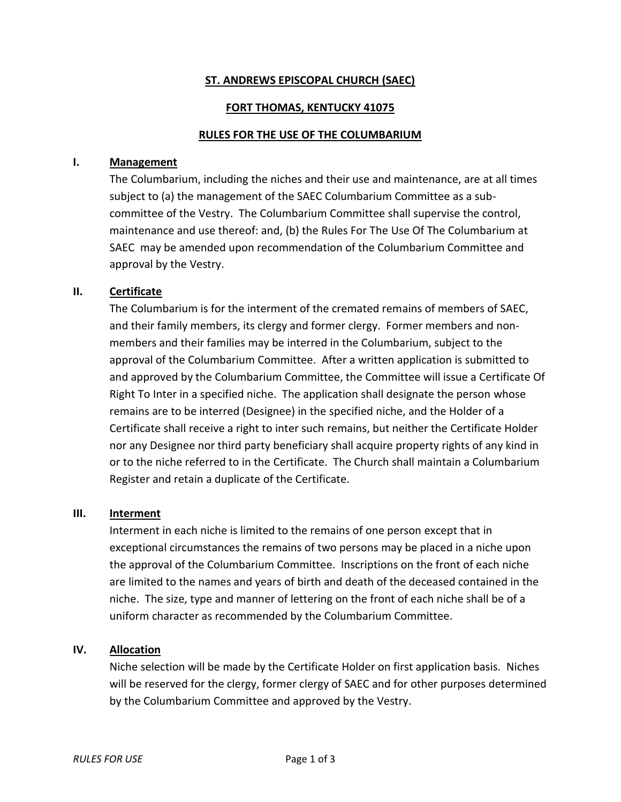### **ST. ANDREWS EPISCOPAL CHURCH (SAEC)**

#### **FORT THOMAS, KENTUCKY 41075**

#### **RULES FOR THE USE OF THE COLUMBARIUM**

#### **I. Management**

The Columbarium, including the niches and their use and maintenance, are at all times subject to (a) the management of the SAEC Columbarium Committee as a subcommittee of the Vestry. The Columbarium Committee shall supervise the control, maintenance and use thereof: and, (b) the Rules For The Use Of The Columbarium at SAEC may be amended upon recommendation of the Columbarium Committee and approval by the Vestry.

#### **II. Certificate**

The Columbarium is for the interment of the cremated remains of members of SAEC, and their family members, its clergy and former clergy. Former members and nonmembers and their families may be interred in the Columbarium, subject to the approval of the Columbarium Committee. After a written application is submitted to and approved by the Columbarium Committee, the Committee will issue a Certificate Of Right To Inter in a specified niche. The application shall designate the person whose remains are to be interred (Designee) in the specified niche, and the Holder of a Certificate shall receive a right to inter such remains, but neither the Certificate Holder nor any Designee nor third party beneficiary shall acquire property rights of any kind in or to the niche referred to in the Certificate. The Church shall maintain a Columbarium Register and retain a duplicate of the Certificate.

#### **III. Interment**

Interment in each niche is limited to the remains of one person except that in exceptional circumstances the remains of two persons may be placed in a niche upon the approval of the Columbarium Committee. Inscriptions on the front of each niche are limited to the names and years of birth and death of the deceased contained in the niche. The size, type and manner of lettering on the front of each niche shall be of a uniform character as recommended by the Columbarium Committee.

#### **IV. Allocation**

Niche selection will be made by the Certificate Holder on first application basis. Niches will be reserved for the clergy, former clergy of SAEC and for other purposes determined by the Columbarium Committee and approved by the Vestry.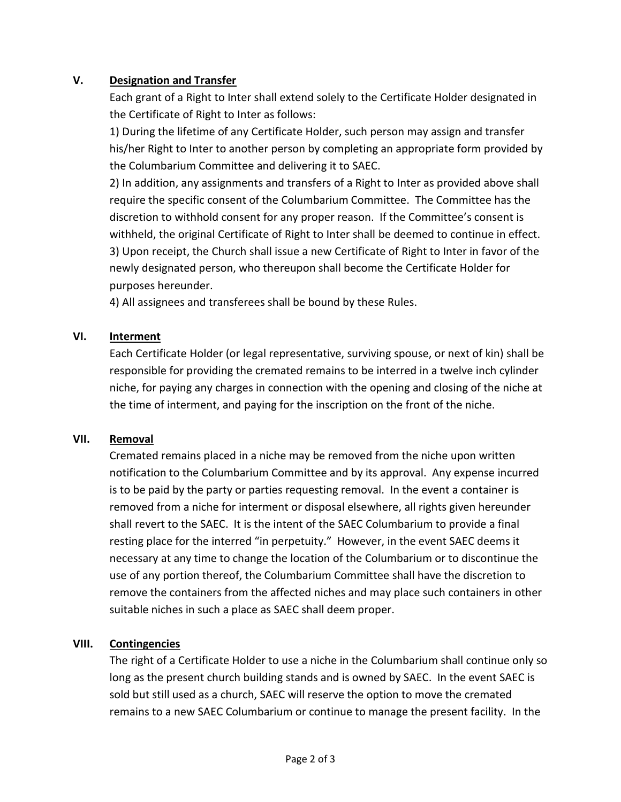# **V. Designation and Transfer**

Each grant of a Right to Inter shall extend solely to the Certificate Holder designated in the Certificate of Right to Inter as follows:

1) During the lifetime of any Certificate Holder, such person may assign and transfer his/her Right to Inter to another person by completing an appropriate form provided by the Columbarium Committee and delivering it to SAEC.

2) In addition, any assignments and transfers of a Right to Inter as provided above shall require the specific consent of the Columbarium Committee. The Committee has the discretion to withhold consent for any proper reason. If the Committee's consent is withheld, the original Certificate of Right to Inter shall be deemed to continue in effect. 3) Upon receipt, the Church shall issue a new Certificate of Right to Inter in favor of the newly designated person, who thereupon shall become the Certificate Holder for purposes hereunder.

4) All assignees and transferees shall be bound by these Rules.

# **VI. Interment**

Each Certificate Holder (or legal representative, surviving spouse, or next of kin) shall be responsible for providing the cremated remains to be interred in a twelve inch cylinder niche, for paying any charges in connection with the opening and closing of the niche at the time of interment, and paying for the inscription on the front of the niche.

# **VII. Removal**

Cremated remains placed in a niche may be removed from the niche upon written notification to the Columbarium Committee and by its approval. Any expense incurred is to be paid by the party or parties requesting removal. In the event a container is removed from a niche for interment or disposal elsewhere, all rights given hereunder shall revert to the SAEC. It is the intent of the SAEC Columbarium to provide a final resting place for the interred "in perpetuity." However, in the event SAEC deems it necessary at any time to change the location of the Columbarium or to discontinue the use of any portion thereof, the Columbarium Committee shall have the discretion to remove the containers from the affected niches and may place such containers in other suitable niches in such a place as SAEC shall deem proper.

# **VIII. Contingencies**

The right of a Certificate Holder to use a niche in the Columbarium shall continue only so long as the present church building stands and is owned by SAEC. In the event SAEC is sold but still used as a church, SAEC will reserve the option to move the cremated remains to a new SAEC Columbarium or continue to manage the present facility. In the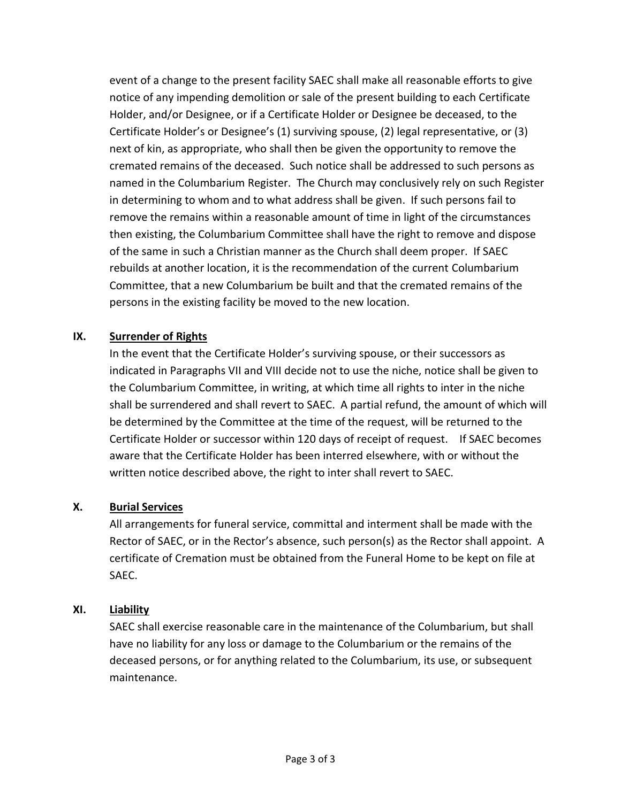event of a change to the present facility SAEC shall make all reasonable efforts to give notice of any impending demolition or sale of the present building to each Certificate Holder, and/or Designee, or if a Certificate Holder or Designee be deceased, to the Certificate Holder's or Designee's (1) surviving spouse, (2) legal representative, or (3) next of kin, as appropriate, who shall then be given the opportunity to remove the cremated remains of the deceased. Such notice shall be addressed to such persons as named in the Columbarium Register. The Church may conclusively rely on such Register in determining to whom and to what address shall be given. If such persons fail to remove the remains within a reasonable amount of time in light of the circumstances then existing, the Columbarium Committee shall have the right to remove and dispose of the same in such a Christian manner as the Church shall deem proper. If SAEC rebuilds at another location, it is the recommendation of the current Columbarium Committee, that a new Columbarium be built and that the cremated remains of the persons in the existing facility be moved to the new location.

# **IX. Surrender of Rights**

In the event that the Certificate Holder's surviving spouse, or their successors as indicated in Paragraphs VII and VIII decide not to use the niche, notice shall be given to the Columbarium Committee, in writing, at which time all rights to inter in the niche shall be surrendered and shall revert to SAEC. A partial refund, the amount of which will be determined by the Committee at the time of the request, will be returned to the Certificate Holder or successor within 120 days of receipt of request. If SAEC becomes aware that the Certificate Holder has been interred elsewhere, with or without the written notice described above, the right to inter shall revert to SAEC.

# **X. Burial Services**

All arrangements for funeral service, committal and interment shall be made with the Rector of SAEC, or in the Rector's absence, such person(s) as the Rector shall appoint. A certificate of Cremation must be obtained from the Funeral Home to be kept on file at SAEC.

# **XI. Liability**

SAEC shall exercise reasonable care in the maintenance of the Columbarium, but shall have no liability for any loss or damage to the Columbarium or the remains of the deceased persons, or for anything related to the Columbarium, its use, or subsequent maintenance.